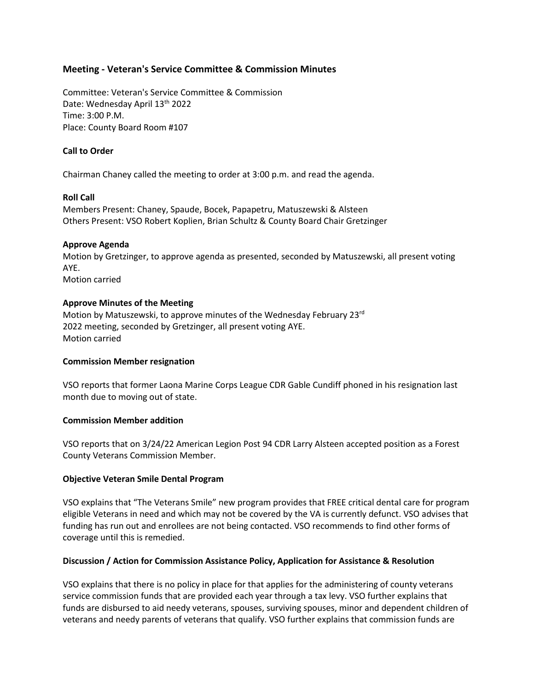# **Meeting - Veteran's Service Committee & Commission Minutes**

Committee: Veteran's Service Committee & Commission Date: Wednesday April 13<sup>th</sup> 2022 Time: 3:00 P.M. Place: County Board Room #107

## **Call to Order**

Chairman Chaney called the meeting to order at 3:00 p.m. and read the agenda.

#### **Roll Call**

Members Present: Chaney, Spaude, Bocek, Papapetru, Matuszewski & Alsteen Others Present: VSO Robert Koplien, Brian Schultz & County Board Chair Gretzinger

#### **Approve Agenda**

Motion by Gretzinger, to approve agenda as presented, seconded by Matuszewski, all present voting AYE.

Motion carried

## **Approve Minutes of the Meeting**

Motion by Matuszewski, to approve minutes of the Wednesday February 23rd 2022 meeting, seconded by Gretzinger, all present voting AYE. Motion carried

## **Commission Member resignation**

VSO reports that former Laona Marine Corps League CDR Gable Cundiff phoned in his resignation last month due to moving out of state.

## **Commission Member addition**

VSO reports that on 3/24/22 American Legion Post 94 CDR Larry Alsteen accepted position as a Forest County Veterans Commission Member.

## **Objective Veteran Smile Dental Program**

VSO explains that "The Veterans Smile" new program provides that FREE critical dental care for program eligible Veterans in need and which may not be covered by the VA is currently defunct. VSO advises that funding has run out and enrollees are not being contacted. VSO recommends to find other forms of coverage until this is remedied.

## **Discussion / Action for Commission Assistance Policy, Application for Assistance & Resolution**

VSO explains that there is no policy in place for that applies for the administering of county veterans service commission funds that are provided each year through a tax levy. VSO further explains that funds are disbursed to aid needy veterans, spouses, surviving spouses, minor and dependent children of veterans and needy parents of veterans that qualify. VSO further explains that commission funds are